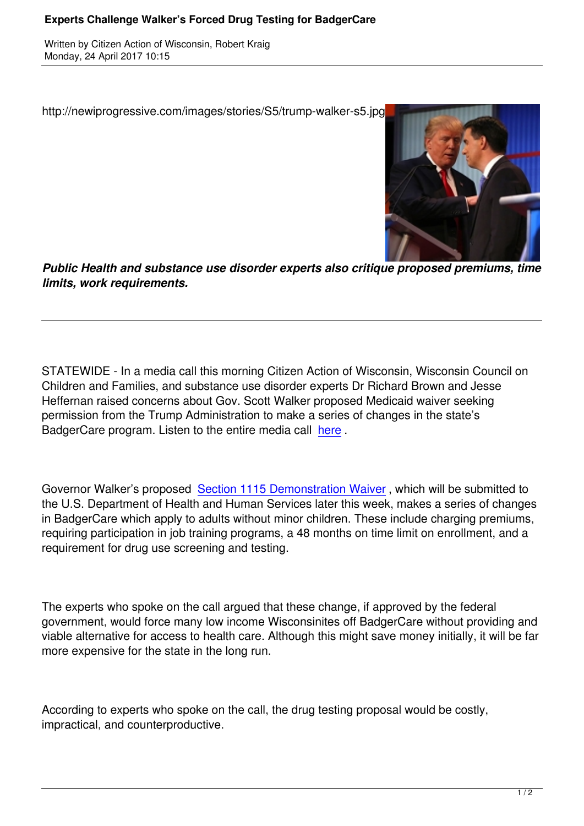http://newiprogressive.com/images/stories/S5/trump-walker-s5.jpg



*Public Health and substance use disorder experts also critique proposed premiums, time limits, work requirements.*

STATEWIDE - In a media call this morning Citizen Action of Wisconsin, Wisconsin Council on Children and Families, and substance use disorder experts Dr Richard Brown and Jesse Heffernan raised concerns about Gov. Scott Walker proposed Medicaid waiver seeking permission from the Trump Administration to make a series of changes in the state's BadgerCare program. Listen to the entire media call here .

Governor Walker's proposed Section 1115 Demonst[ration](https://soundcloud.com/citizen-action-of-wi/media-call-public-health-experts-challenge-gov-walkers-drug-testing-of-badgercare-recipients) Waiver , which will be submitted to the U.S. Department of Health and Human Services later this week, makes a series of changes in BadgerCare which apply to adults without minor children. These include charging premiums, requiring participation in job tr[aining programs, a 48 months on tim](https://www.dhs.wisconsin.gov/badgercareplus/waivers-cla.htm)e limit on enrollment, and a requirement for drug use screening and testing.

The experts who spoke on the call argued that these change, if approved by the federal government, would force many low income Wisconsinites off BadgerCare without providing and viable alternative for access to health care. Although this might save money initially, it will be far more expensive for the state in the long run.

According to experts who spoke on the call, the drug testing proposal would be costly, impractical, and counterproductive.